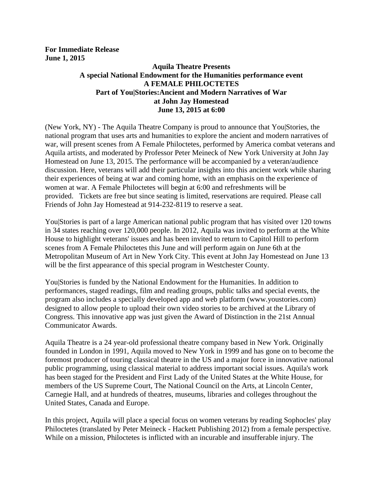**For Immediate Release June 1, 2015**

## **Aquila Theatre Presents A special National Endowment for the Humanities performance event A FEMALE PHILOCTETES Part of You|Stories:Ancient and Modern Narratives of War at John Jay Homestead June 13, 2015 at 6:00**

(New York, NY) - The Aquila Theatre Company is proud to announce that You|Stories, the national program that uses arts and humanities to explore the ancient and modern narratives of war, will present scenes from A Female Philoctetes, performed by America combat veterans and Aquila artists, and moderated by Professor Peter Meineck of New York University at John Jay Homestead on June 13, 2015. The performance will be accompanied by a veteran/audience discussion. Here, veterans will add their particular insights into this ancient work while sharing their experiences of being at war and coming home, with an emphasis on the experience of women at war. A Female Philoctetes will begin at 6:00 and refreshments will be provided. Tickets are free but since seating is limited, reservations are required. Please call Friends of John Jay Homestead at 914-232-8119 to reserve a seat.

You|Stories is part of a large American national public program that has visited over 120 towns in 34 states reaching over 120,000 people. In 2012, Aquila was invited to perform at the White House to highlight veterans' issues and has been invited to return to Capitol Hill to perform scenes from A Female Philoctetes this June and will perform again on June 6th at the Metropolitan Museum of Art in New York City. This event at John Jay Homestead on June 13 will be the first appearance of this special program in Westchester County.

You|Stories is funded by the National Endowment for the Humanities. In addition to performances, staged readings, film and reading groups, public talks and special events, the program also includes a specially developed app and web platform (www.youstories.com) designed to allow people to upload their own video stories to be archived at the Library of Congress. This innovative app was just given the Award of Distinction in the 21st Annual Communicator Awards.

Aquila Theatre is a 24 year-old professional theatre company based in New York. Originally founded in London in 1991, Aquila moved to New York in 1999 and has gone on to become the foremost producer of touring classical theatre in the US and a major force in innovative national public programming, using classical material to address important social issues. Aquila's work has been staged for the President and First Lady of the United States at the White House, for members of the US Supreme Court, The National Council on the Arts, at Lincoln Center, Carnegie Hall, and at hundreds of theatres, museums, libraries and colleges throughout the United States, Canada and Europe.

In this project, Aquila will place a special focus on women veterans by reading Sophocles' play Philoctetes (translated by Peter Meineck - Hackett Publishing 2012) from a female perspective. While on a mission, Philoctetes is inflicted with an incurable and insufferable injury. The